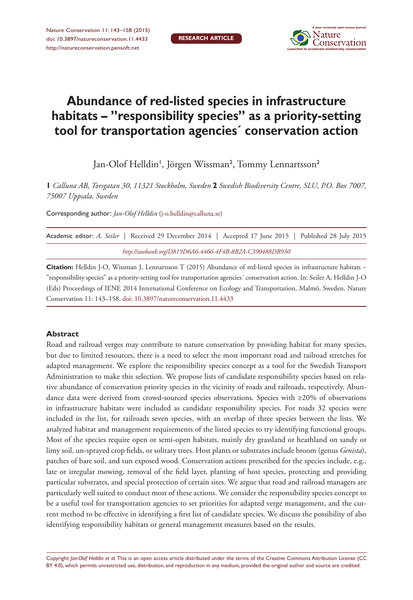

# **Abundance of red-listed species in infrastructure habitats – "responsibility species" as a priority-setting tool for transportation agencies´ conservation action**

Jan-Olof Helldin', Jörgen Wissman<sup>2</sup>, Tommy Lennartsson<sup>2</sup>

**1** *Calluna AB, Torsgatan 30, 11321 Stockholm, Sweden* **2** *Swedish Biodiversity Centre, SLU, P.O. Box 7007, 75007 Uppsala, Sweden*

Corresponding author: *Jan-Olof Helldin* ([j-o.helldin@calluna.se\)](mailto:j-o.helldin@calluna.se)

| Academic editor: A. Seiler   Received 29 December 2014   Accepted 17 June 2015   Published 28 July 2015 |  |
|---------------------------------------------------------------------------------------------------------|--|
| http://zoobank.org/D819D6A6-4466-4F4B-8B2A-C390488DB930                                                 |  |

**Citation:** Helldin J-O, Wissman J, Lennartsson T (2015) Abundance of red-listed species in infrastructure habitats – "responsibility species" as a priority-setting tool for transportation agencies´ conservation action. In: Seiler A, Helldin J-O (Eds) Proceedings of IENE 2014 International Conference on Ecology and Transportation, Malmö, Sweden. Nature Conservation 11: 143–158. [doi: 10.3897/natureconservation.11.4433](http://dx.doi.org/10.3897/natureconservation.11.4433)

#### **Abstract**

Road and railroad verges may contribute to nature conservation by providing habitat for many species, but due to limited resources, there is a need to select the most important road and railroad stretches for adapted management. We explore the responsibility species concept as a tool for the Swedish Transport Administration to make this selection. We propose lists of candidate responsibility species based on relative abundance of conservation priority species in the vicinity of roads and railroads, respectively. Abundance data were derived from crowd-sourced species observations. Species with ≥20% of observations in infrastructure habitats were included as candidate responsibility species. For roads 32 species were included in the list, for railroads seven species, with an overlap of three species between the lists. We analyzed habitat and management requirements of the listed species to try identifying functional groups. Most of the species require open or semi-open habitats, mainly dry grassland or heathland on sandy or limy soil, un-sprayed crop fields, or solitary trees. Host plants or substrates include broom (genus *Genista*), patches of bare soil, and sun exposed wood. Conservation actions prescribed for the species include, e.g., late or irregular mowing, removal of the field layer, planting of host species, protecting and providing particular substrates, and special protection of certain sites. We argue that road and railroad managers are particularly well suited to conduct most of these actions. We consider the responsibility species concept to be a useful tool for transportation agencies to set priorities for adapted verge management, and the current method to be effective in identifying a first list of candidate species. We discuss the possibility of also identifying responsibility habitats or general management measures based on the results.

Copyright *Jan-Olof Helldin et al.* This is an open access article distributed under the terms of the [Creative Commons Attribution License \(CC](http://creativecommons.org/licenses/by/4.0/)  [BY 4.0\)](http://creativecommons.org/licenses/by/4.0/), which permits unrestricted use, distribution, and reproduction in any medium, provided the original author and source are credited.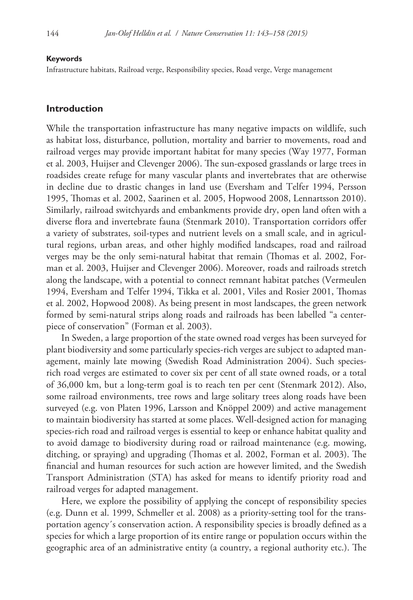#### **Keywords**

Infrastructure habitats, Railroad verge, Responsibility species, Road verge, Verge management

#### **Introduction**

While the transportation infrastructure has many negative impacts on wildlife, such as habitat loss, disturbance, pollution, mortality and barrier to movements, road and railroad verges may provide important habitat for many species (Way 1977, Forman et al. 2003, Huijser and Clevenger 2006). The sun-exposed grasslands or large trees in roadsides create refuge for many vascular plants and invertebrates that are otherwise in decline due to drastic changes in land use (Eversham and Telfer 1994, Persson 1995, Thomas et al. 2002, Saarinen et al. 2005, Hopwood 2008, Lennartsson 2010). Similarly, railroad switchyards and embankments provide dry, open land often with a diverse flora and invertebrate fauna (Stenmark 2010). Transportation corridors offer a variety of substrates, soil-types and nutrient levels on a small scale, and in agricultural regions, urban areas, and other highly modified landscapes, road and railroad verges may be the only semi-natural habitat that remain (Thomas et al. 2002, Forman et al. 2003, Huijser and Clevenger 2006). Moreover, roads and railroads stretch along the landscape, with a potential to connect remnant habitat patches (Vermeulen 1994, Eversham and Telfer 1994, Tikka et al. 2001, Viles and Rosier 2001, Thomas et al. 2002, Hopwood 2008). As being present in most landscapes, the green network formed by semi-natural strips along roads and railroads has been labelled "a centerpiece of conservation" (Forman et al. 2003).

In Sweden, a large proportion of the state owned road verges has been surveyed for plant biodiversity and some particularly species-rich verges are subject to adapted management, mainly late mowing (Swedish Road Administration 2004). Such speciesrich road verges are estimated to cover six per cent of all state owned roads, or a total of 36,000 km, but a long-term goal is to reach ten per cent (Stenmark 2012). Also, some railroad environments, tree rows and large solitary trees along roads have been surveyed (e.g. von Platen 1996, Larsson and Knöppel 2009) and active management to maintain biodiversity has started at some places. Well-designed action for managing species-rich road and railroad verges is essential to keep or enhance habitat quality and to avoid damage to biodiversity during road or railroad maintenance (e.g. mowing, ditching, or spraying) and upgrading (Thomas et al. 2002, Forman et al. 2003). The financial and human resources for such action are however limited, and the Swedish Transport Administration (STA) has asked for means to identify priority road and railroad verges for adapted management.

Here, we explore the possibility of applying the concept of responsibility species (e.g. Dunn et al. 1999, Schmeller et al. 2008) as a priority-setting tool for the transportation agency´s conservation action. A responsibility species is broadly defined as a species for which a large proportion of its entire range or population occurs within the geographic area of an administrative entity (a country, a regional authority etc.). The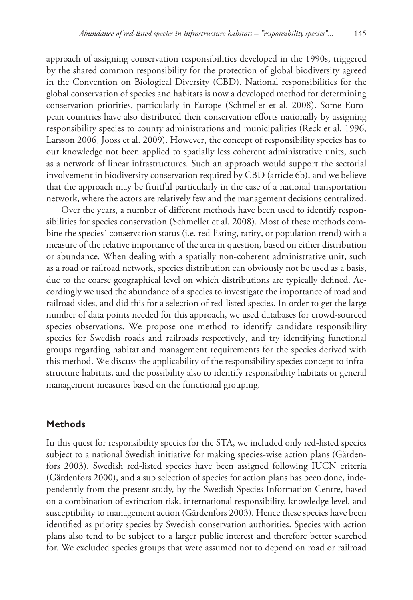approach of assigning conservation responsibilities developed in the 1990s, triggered by the shared common responsibility for the protection of global biodiversity agreed in the Convention on Biological Diversity (CBD). National responsibilities for the global conservation of species and habitats is now a developed method for determining conservation priorities, particularly in Europe (Schmeller et al. 2008). Some European countries have also distributed their conservation efforts nationally by assigning responsibility species to county administrations and municipalities (Reck et al. 1996, Larsson 2006, Jooss et al. 2009). However, the concept of responsibility species has to our knowledge not been applied to spatially less coherent administrative units, such as a network of linear infrastructures. Such an approach would support the sectorial involvement in biodiversity conservation required by CBD (article 6b), and we believe that the approach may be fruitful particularly in the case of a national transportation network, where the actors are relatively few and the management decisions centralized.

Over the years, a number of different methods have been used to identify responsibilities for species conservation (Schmeller et al. 2008). Most of these methods combine the species´ conservation status (i.e. red-listing, rarity, or population trend) with a measure of the relative importance of the area in question, based on either distribution or abundance. When dealing with a spatially non-coherent administrative unit, such as a road or railroad network, species distribution can obviously not be used as a basis, due to the coarse geographical level on which distributions are typically defined. Accordingly we used the abundance of a species to investigate the importance of road and railroad sides, and did this for a selection of red-listed species. In order to get the large number of data points needed for this approach, we used databases for crowd-sourced species observations. We propose one method to identify candidate responsibility species for Swedish roads and railroads respectively, and try identifying functional groups regarding habitat and management requirements for the species derived with this method. We discuss the applicability of the responsibility species concept to infrastructure habitats, and the possibility also to identify responsibility habitats or general management measures based on the functional grouping.

### **Methods**

In this quest for responsibility species for the STA, we included only red-listed species subject to a national Swedish initiative for making species-wise action plans (Gärdenfors 2003). Swedish red-listed species have been assigned following IUCN criteria (Gärdenfors 2000), and a sub selection of species for action plans has been done, independently from the present study, by the Swedish Species Information Centre, based on a combination of extinction risk, international responsibility, knowledge level, and susceptibility to management action (Gärdenfors 2003). Hence these species have been identified as priority species by Swedish conservation authorities. Species with action plans also tend to be subject to a larger public interest and therefore better searched for. We excluded species groups that were assumed not to depend on road or railroad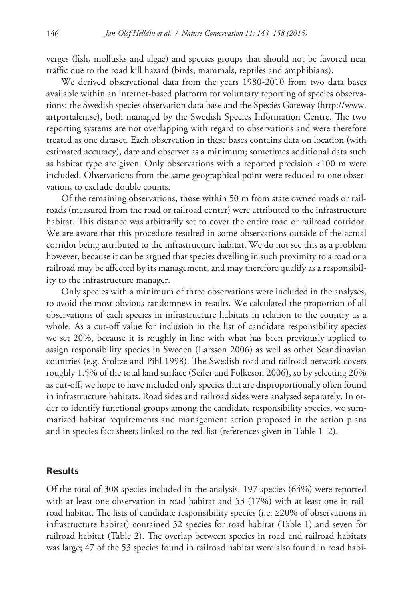verges (fish, mollusks and algae) and species groups that should not be favored near traffic due to the road kill hazard (birds, mammals, reptiles and amphibians).

We derived observational data from the years 1980-2010 from two data bases available within an internet-based platform for voluntary reporting of species observations: the Swedish species observation data base and the Species Gateway ([http://www.](http://www.artportalen.se) [artportalen.se\)](http://www.artportalen.se), both managed by the Swedish Species Information Centre. The two reporting systems are not overlapping with regard to observations and were therefore treated as one dataset. Each observation in these bases contains data on location (with estimated accuracy), date and observer as a minimum; sometimes additional data such as habitat type are given. Only observations with a reported precision <100 m were included. Observations from the same geographical point were reduced to one observation, to exclude double counts.

Of the remaining observations, those within 50 m from state owned roads or railroads (measured from the road or railroad center) were attributed to the infrastructure habitat. This distance was arbitrarily set to cover the entire road or railroad corridor. We are aware that this procedure resulted in some observations outside of the actual corridor being attributed to the infrastructure habitat. We do not see this as a problem however, because it can be argued that species dwelling in such proximity to a road or a railroad may be affected by its management, and may therefore qualify as a responsibility to the infrastructure manager.

Only species with a minimum of three observations were included in the analyses, to avoid the most obvious randomness in results. We calculated the proportion of all observations of each species in infrastructure habitats in relation to the country as a whole. As a cut-off value for inclusion in the list of candidate responsibility species we set 20%, because it is roughly in line with what has been previously applied to assign responsibility species in Sweden (Larsson 2006) as well as other Scandinavian countries (e.g. Stoltze and Pihl 1998). The Swedish road and railroad network covers roughly 1.5% of the total land surface (Seiler and Folkeson 2006), so by selecting 20% as cut-off, we hope to have included only species that are disproportionally often found in infrastructure habitats. Road sides and railroad sides were analysed separately. In order to identify functional groups among the candidate responsibility species, we summarized habitat requirements and management action proposed in the action plans and in species fact sheets linked to the red-list (references given in Table 1–2).

### **Results**

Of the total of 308 species included in the analysis, 197 species (64%) were reported with at least one observation in road habitat and 53 (17%) with at least one in railroad habitat. The lists of candidate responsibility species (i.e.  $\geq$ 20% of observations in infrastructure habitat) contained 32 species for road habitat (Table 1) and seven for railroad habitat (Table 2). The overlap between species in road and railroad habitats was large; 47 of the 53 species found in railroad habitat were also found in road habi-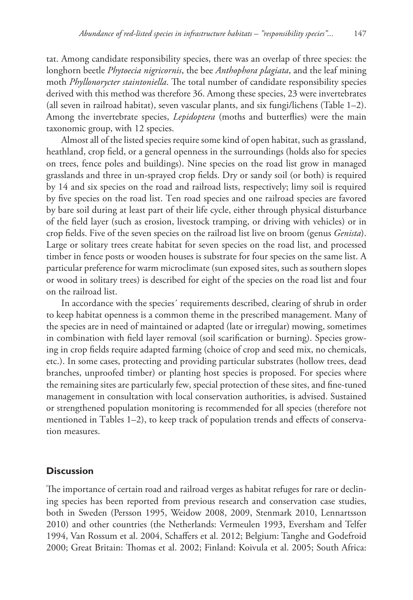tat. Among candidate responsibility species, there was an overlap of three species: the longhorn beetle *Phytoecia nigricornis*, the bee *Anthophora plagiata*, and the leaf mining moth *Phyllonorycter staintoniella*. The total number of candidate responsibility species derived with this method was therefore 36. Among these species, 23 were invertebrates (all seven in railroad habitat), seven vascular plants, and six fungi/lichens (Table 1–2). Among the invertebrate species, *Lepidoptera* (moths and butterflies) were the main taxonomic group, with 12 species.

Almost all of the listed species require some kind of open habitat, such as grassland, heathland, crop field, or a general openness in the surroundings (holds also for species on trees, fence poles and buildings). Nine species on the road list grow in managed grasslands and three in un-sprayed crop fields. Dry or sandy soil (or both) is required by 14 and six species on the road and railroad lists, respectively; limy soil is required by five species on the road list. Ten road species and one railroad species are favored by bare soil during at least part of their life cycle, either through physical disturbance of the field layer (such as erosion, livestock tramping, or driving with vehicles) or in crop fields. Five of the seven species on the railroad list live on broom (genus *Genista*). Large or solitary trees create habitat for seven species on the road list, and processed timber in fence posts or wooden houses is substrate for four species on the same list. A particular preference for warm microclimate (sun exposed sites, such as southern slopes or wood in solitary trees) is described for eight of the species on the road list and four on the railroad list.

In accordance with the species´ requirements described, clearing of shrub in order to keep habitat openness is a common theme in the prescribed management. Many of the species are in need of maintained or adapted (late or irregular) mowing, sometimes in combination with field layer removal (soil scarification or burning). Species growing in crop fields require adapted farming (choice of crop and seed mix, no chemicals, etc.). In some cases, protecting and providing particular substrates (hollow trees, dead branches, unproofed timber) or planting host species is proposed. For species where the remaining sites are particularly few, special protection of these sites, and fine-tuned management in consultation with local conservation authorities, is advised. Sustained or strengthened population monitoring is recommended for all species (therefore not mentioned in Tables 1–2), to keep track of population trends and effects of conservation measures.

### **Discussion**

The importance of certain road and railroad verges as habitat refuges for rare or declining species has been reported from previous research and conservation case studies, both in Sweden (Persson 1995, Weidow 2008, 2009, Stenmark 2010, Lennartsson 2010) and other countries (the Netherlands: Vermeulen 1993, Eversham and Telfer 1994, Van Rossum et al. 2004, Schaffers et al. 2012; Belgium: Tanghe and Godefroid 2000; Great Britain: Thomas et al. 2002; Finland: Koivula et al. 2005; South Africa: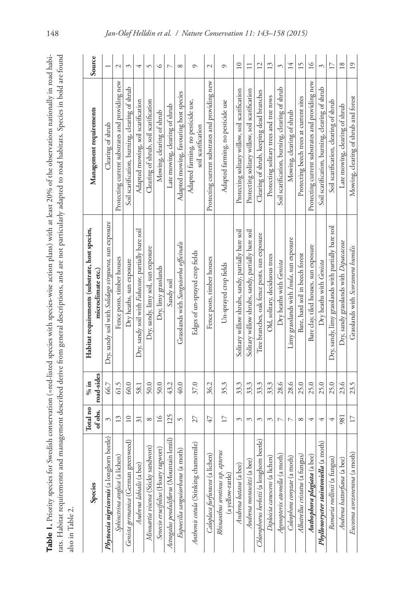| $\frac{1}{3}$<br>in the st<br>î                    |                                                                  |   |
|----------------------------------------------------|------------------------------------------------------------------|---|
|                                                    |                                                                  |   |
| $\frac{1}{2}$                                      | particularly adapted to road habitats. Species in bold are found |   |
| orth species-wise action plans) with at least 20°  | uptions, and are not pr                                          |   |
| וו ייי נטבע<br>neciec sm                           | Filo o                                                           |   |
| $1c + \triangle$<br>$\cdot$ on $\epsilon$ = red-h. | erive trom general                                               |   |
| ŗ<br>ic                                            | i<br>Coco<br>$\frac{1}{2}$                                       |   |
| i<br>i<br>î                                        | ë                                                                | į |
| $\ddot{\ddot{\ }}$                                 | ;;<br>;                                                          | 1 |

| also in Table 2.                                       |                     |                      | Table 1. Priority species for Swedish conservation (=red-listed species with species-wise action plans) with at least 20% of the observations nationally in road habi-<br>tats. Habitat requirements and management described derive from general descriptions, and are not particularly adapted to road habitats. Species in bold are found |                                                          |                 |
|--------------------------------------------------------|---------------------|----------------------|----------------------------------------------------------------------------------------------------------------------------------------------------------------------------------------------------------------------------------------------------------------------------------------------------------------------------------------------|----------------------------------------------------------|-----------------|
| Species                                                | Total no<br>of obs. | road-sides<br>$%$ in | Habitat requirements (substrate, host species,<br>microclimate etc.)                                                                                                                                                                                                                                                                         | Management requirements                                  | Source          |
| Phytoecia nigricornis (a longhorn beetle)              | ξ                   | 66.7                 | Dry, sandy soil with Solidago virgaurea, sun exposure                                                                                                                                                                                                                                                                                        | Clearing of shrub                                        |                 |
| Sphinctrina anglica (a lichen)                         | 13                  | 61.5                 | Fence posts, timber houses                                                                                                                                                                                                                                                                                                                   | Protecting current substrates and providing new          | $\sim$          |
| Genista germanica (German greenweed)                   | $\overline{10}$     | 60.0                 | Dry heaths, sun exposure                                                                                                                                                                                                                                                                                                                     | Soil scarification, burning, clearing of shrub           | $\mathcal{E}$   |
| Andrena labialis (a bee)                               | $\overline{31}$     | 58.1                 | Dry, sandy soil with Fabaceae, partially bare soil                                                                                                                                                                                                                                                                                           | Adapted mowing, soil scarification                       | 4               |
| Minuartia viscosa (Sticky sandwort)                    | ${}^{\circ}$        | 50.0                 | Dry, sandy, limy soil, sun exposure                                                                                                                                                                                                                                                                                                          | Clearing of shrub, soil scarification                    | $\sqrt{ }$      |
| Senecio erucifolius (Hoary ragwort)                    | $\overline{16}$     | 50.0                 | Dry, limy grasslands                                                                                                                                                                                                                                                                                                                         | Mowing, clearing of shrub                                | $\circ$         |
| Astragalus penduliflorus (Mountain lentil)             | 125                 | 43.2                 | Sandy soil                                                                                                                                                                                                                                                                                                                                   | Late mowing, clearing of shrub                           | L               |
| Eupoecilia sanguisorbana (a moth)                      | 5                   | 40.0                 | Grasslands with Sanguisorba officinalis                                                                                                                                                                                                                                                                                                      | Adapted mowing, favouring host species                   | $\infty$        |
| Anthemis cotula (Stinking chamomile)                   | 27                  | 37.0                 | Edges of un-sprayed crop fields                                                                                                                                                                                                                                                                                                              | Adapted farming, no pesticide use,<br>soil scarification | $\circ$         |
| Caloplaca furfuracea (a lichen)                        | 47                  | 36.2                 | Fence posts, timber houses                                                                                                                                                                                                                                                                                                                   | Protecting current substrates and providing new          | $\mathcal{L}$   |
| Rhinanthus serotinus ssp. apterus<br>(a yellow-rattle) | $\Box$              | 35.3                 | Un-sprayed crop fields                                                                                                                                                                                                                                                                                                                       | Adapted farming, no pesticide use                        | $\circ$         |
| Andrena batava (a bee)                                 | ξ                   | 33.3                 | Solitary willow shrubs, sandy, partially bare soil                                                                                                                                                                                                                                                                                           | Protecting solitary willow, soil scarification           | $\overline{10}$ |
| Andrena morawitzi (a bee)                              | ξ                   | 33.3                 | Solitary willow shrubs, sandy, partially bare soil                                                                                                                                                                                                                                                                                           | Protecting solitary willow, soil scarification           | $\Box$          |
| Chlorophorus herbstii (a longhorn beetle)              | 3                   | 33.3                 | Tree branches, oak fence posts, sun exposure                                                                                                                                                                                                                                                                                                 | Clearing of shrub, keeping dead branches                 | $\overline{c}$  |
| Diploicia canescens (a lichen)                         | ξ                   | 33.3                 | Old, solitary, deciduous trees                                                                                                                                                                                                                                                                                                               | Protecting solitary trees and tree rows                  | 13              |
| Agonopterix atomella (a moth)                          |                     | 28.6                 | Dry heaths with Genista                                                                                                                                                                                                                                                                                                                      | Soil scarification, burning, clearing of shrub           | 3               |
| Coleophora conyzae (a moth)                            | L                   | 28.6                 | Limy grasslands with Inula, sun exposure                                                                                                                                                                                                                                                                                                     | Mowing, clearing of shrub                                | 14              |
| Albatrellus cristatus (a fungus)                       | ${}^{\circ}$        | 25.0                 | Bare, hard soil in beech forest                                                                                                                                                                                                                                                                                                              | Protecting beech trees at current sites                  | 15              |
| Anthophora plagiata (a bee)                            | 4                   | 25.0                 | Bare clay, tiled houses, sun exposure                                                                                                                                                                                                                                                                                                        | Protecting current substrates and providing new          | $\geq$          |
| $\widehat{E}$<br>Phyllonorycter staintoniella (a mot   | 4                   | 25.0                 | Dry heaths with Genista                                                                                                                                                                                                                                                                                                                      | Soil scarification, burning, clearing of shrub           | 3               |
| Ramaria roellinii (a fungus)                           | 4                   | 25.0                 | Dry, sandy, limy grasslands with partially bare soil                                                                                                                                                                                                                                                                                         | Soil scarification, clearing of shrub                    | $\Box$          |
| Andrena hattorfiana (a bee)                            | 981                 | 23.6                 | Dry, sandy grasslands with Dipsacaceae                                                                                                                                                                                                                                                                                                       | Late mowing, clearing of shrub                           | $\overline{18}$ |
| Eucosma scorzonerana (a moth)                          | 17                  | 23.5                 | Grasslands with Scorzonera humilis                                                                                                                                                                                                                                                                                                           | Mowing, clearing of shrub and forest                     | $\overline{19}$ |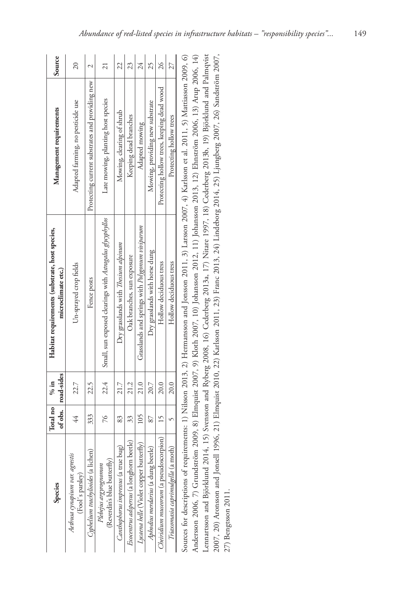| Species                                              | Total no      | of obs.   road-sides<br>$\frac{9}{6}$ in | Habitat requirements (substrate, host species,<br>microclimate etc.)                                                                                        | Management requirements                         | Source          |
|------------------------------------------------------|---------------|------------------------------------------|-------------------------------------------------------------------------------------------------------------------------------------------------------------|-------------------------------------------------|-----------------|
| Aethusa cynapium var. agrestis<br>(Fool's parsley)   | 44            | 22.7                                     | Un-sprayed crop fields                                                                                                                                      | Adapted farming, no pesticide use               | $\approx$       |
| Cyphelium trachylioides (a lichen)                   | 333           | 22.5                                     | Fence posts                                                                                                                                                 | Protecting current substrates and providing new | 2               |
| (Reverdin's blue butterfly)<br>Plebejus argyrognomon | $\frac{5}{2}$ | 22.4                                     | Small, sun exposed clearings with Astragalus glycyphyllos                                                                                                   | Late mowing, planting host species              | $\overline{21}$ |
| Canthophorus impressus (a true bug)                  | 83            | 21.7                                     | Dry grasslands with Thesium alpinum                                                                                                                         | Mowing, clearing of shrub                       | 22              |
| Exocentrus adspersus (a longhorn beetle)             | 33            | 21.2                                     | Oak branches, sun exposure                                                                                                                                  | Keeping dead branches                           | 23              |
| Lycaena helle (Violet copper butterfly)              | 105           | 21.0                                     | Grasslands and springs with Polygonum viviparum                                                                                                             | Adapted mowing                                  | 24              |
| Aphodius merdarius (a dung beetle)                   | 87            | 20.7                                     | Dry grasslands with horse dung                                                                                                                              | Mowing, providing new substrate                 | 25              |
| Cheiridium museorum (a pseudoscorpion)               | 15            | 20.0                                     | Hollow deciduous tress                                                                                                                                      | Protecting hollow trees, keeping dead wood      | $\approx$       |
| Triaxomasia caprimulgella (a moth                    |               | 20.0                                     | Hollow deciduous tress                                                                                                                                      | Protecting hollow trees                         |                 |
|                                                      |               |                                          | Sources for descriptions of requirements: 1) Nilsson 2013, 2) Hermansson and Jonsson 2011, 3) Larsson 2007, 4) Karlsson et al. 2011, 5) Mattiasson 2009, 6) |                                                 |                 |

Andersson 2006, 7) Grundström 2009, 8) Elmquist 2007, 9) Kloth 2007, 10) Johansson 2012, 11) Johansson 2013, 12) Ehnström 2006, 13) Arup 2006, 14) Lennartsson and Björklund 2014, 15) Svensson and Ryberg 2008, 16) Cederberg 2013a, 17) Nitare 1997, 18) Cederberg 2013b, 19) Björklund and Palmqvist Lennartsson and Björklund 2014, 15) Svensson and Ryberg 2008, 16) Cederberg 2013a, 17) Nitare 1997, 18) Cederberg 2013b, 19) Björklund and Palmqvist 2007, 20) Aronsson and Jonsell 1996, 21) Elmquist 2010, 22) Karlsson 2011, 23) Franc 2013, 24) Lindeborg 2014, 25) Ljungberg 2007, 26) Sandström 2007, 2007, 20) Aronsson and Jonsell 1996, 21) Elmquist 2010, 22) Karlsson 2011, 23) Franc 2013, 24) Lindeborg 2014, 25) Ljungberg 2007, 26) Sandström 2007, Andersson 2006, 7) Grundström 2009, 8) Elmquist 2007, 9) Kloth 2007, 10) Johansson 2012, 11) Johansson 2013, 12) Elmström 2006, 13) Arup 2006, 14) 27) Bengtsson 2011. 27) Bengtsson 2011.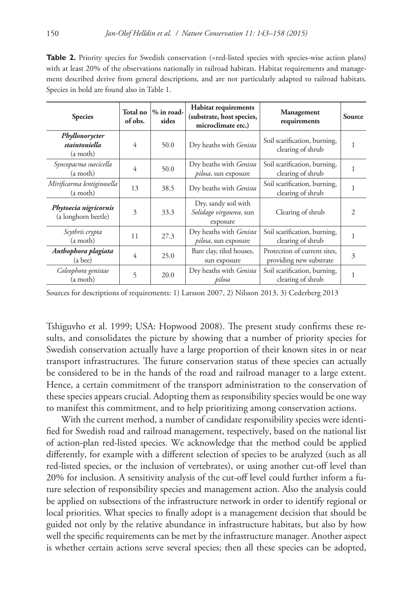**Table 2.** Priority species for Swedish conservation (=red-listed species with species-wise action plans) with at least 20% of the observations nationally in railroad habitats. Habitat requirements and management described derive from general descriptions, and are not particularly adapted to railroad habitats. Species in bold are found also in Table 1.

| <b>Species</b>                               | Total no<br>of obs. | $%$ in road-<br>sides | <b>Habitat requirements</b><br>(substrate, host species,<br>microclimate etc.) | <b>Management</b><br>requirements                       | <b>Source</b>  |
|----------------------------------------------|---------------------|-----------------------|--------------------------------------------------------------------------------|---------------------------------------------------------|----------------|
| Phyllonorycter<br>staintoniella<br>(a moth)  | 4                   | 50.0                  | Dry heaths with Genista                                                        | Soil scarification, burning,<br>clearing of shrub       | 1              |
| Syncopacma suecicella<br>(a moth)            | 4                   | 50.0                  | Dry heaths with <i>Genista</i><br><i>pilosa</i> , sun exposure                 | Soil scarification, burning,<br>clearing of shrub       | 1              |
| Mirificarma lentiginosella<br>(a moth)       | 13                  | 38.5                  | Dry heaths with Genista                                                        | Soil scarification, burning,<br>clearing of shrub       | 1              |
| Phytoecia nigricornis<br>(a longhorn beetle) | 3                   | 33.3                  | Dry, sandy soil with<br>Solidago virgaurea, sun<br>exposure                    | Clearing of shrub                                       | $\mathfrak{D}$ |
| Scythris crypta<br>(a moth)                  | 11                  | 27.3                  | Dry heaths with Genista<br><i>pilosa</i> , sun exposure                        | Soil scarification, burning,<br>clearing of shrub       |                |
| Anthophora plagiata<br>(a bee)               | $\overline{4}$      | 25.0                  | Bare clay, tiled houses,<br>sun exposure                                       | Protection of current sites,<br>providing new substrate | 3              |
| Coleophora genistae<br>(a moth)              | 5                   | 20.0                  | Dry heaths with <i>Genista</i><br>pilosa                                       | Soil scarification, burning,<br>clearing of shrub       | 1              |

Sources for descriptions of requirements: 1) Larsson 2007, 2) Nilsson 2013, 3) Cederberg 2013

Tshiguvho et al. 1999; USA: Hopwood 2008). The present study confirms these results, and consolidates the picture by showing that a number of priority species for Swedish conservation actually have a large proportion of their known sites in or near transport infrastructures. The future conservation status of these species can actually be considered to be in the hands of the road and railroad manager to a large extent. Hence, a certain commitment of the transport administration to the conservation of these species appears crucial. Adopting them as responsibility species would be one way to manifest this commitment, and to help prioritizing among conservation actions.

With the current method, a number of candidate responsibility species were identified for Swedish road and railroad management, respectively, based on the national list of action-plan red-listed species. We acknowledge that the method could be applied differently, for example with a different selection of species to be analyzed (such as all red-listed species, or the inclusion of vertebrates), or using another cut-off level than 20% for inclusion. A sensitivity analysis of the cut-off level could further inform a future selection of responsibility species and management action. Also the analysis could be applied on subsections of the infrastructure network in order to identify regional or local priorities. What species to finally adopt is a management decision that should be guided not only by the relative abundance in infrastructure habitats, but also by how well the specific requirements can be met by the infrastructure manager. Another aspect is whether certain actions serve several species; then all these species can be adopted,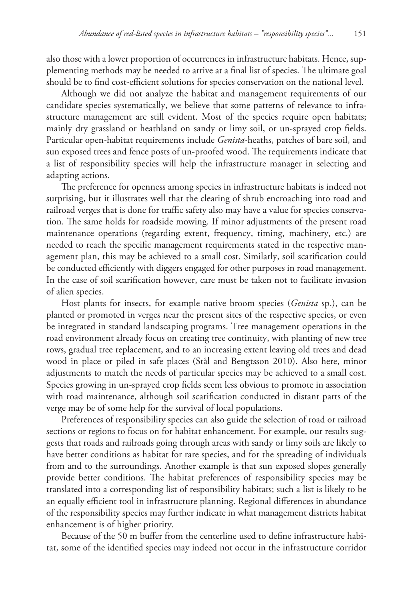also those with a lower proportion of occurrences in infrastructure habitats. Hence, supplementing methods may be needed to arrive at a final list of species. The ultimate goal should be to find cost-efficient solutions for species conservation on the national level.

Although we did not analyze the habitat and management requirements of our candidate species systematically, we believe that some patterns of relevance to infrastructure management are still evident. Most of the species require open habitats; mainly dry grassland or heathland on sandy or limy soil, or un-sprayed crop fields. Particular open-habitat requirements include *Genista*-heaths, patches of bare soil, and sun exposed trees and fence posts of un-proofed wood. The requirements indicate that a list of responsibility species will help the infrastructure manager in selecting and adapting actions.

The preference for openness among species in infrastructure habitats is indeed not surprising, but it illustrates well that the clearing of shrub encroaching into road and railroad verges that is done for traffic safety also may have a value for species conservation. The same holds for roadside mowing. If minor adjustments of the present road maintenance operations (regarding extent, frequency, timing, machinery, etc.) are needed to reach the specific management requirements stated in the respective management plan, this may be achieved to a small cost. Similarly, soil scarification could be conducted efficiently with diggers engaged for other purposes in road management. In the case of soil scarification however, care must be taken not to facilitate invasion of alien species.

Host plants for insects, for example native broom species (*Genista* sp.), can be planted or promoted in verges near the present sites of the respective species, or even be integrated in standard landscaping programs. Tree management operations in the road environment already focus on creating tree continuity, with planting of new tree rows, gradual tree replacement, and to an increasing extent leaving old trees and dead wood in place or piled in safe places (Stål and Bengtsson 2010). Also here, minor adjustments to match the needs of particular species may be achieved to a small cost. Species growing in un-sprayed crop fields seem less obvious to promote in association with road maintenance, although soil scarification conducted in distant parts of the verge may be of some help for the survival of local populations.

Preferences of responsibility species can also guide the selection of road or railroad sections or regions to focus on for habitat enhancement. For example, our results suggests that roads and railroads going through areas with sandy or limy soils are likely to have better conditions as habitat for rare species, and for the spreading of individuals from and to the surroundings. Another example is that sun exposed slopes generally provide better conditions. The habitat preferences of responsibility species may be translated into a corresponding list of responsibility habitats; such a list is likely to be an equally efficient tool in infrastructure planning. Regional differences in abundance of the responsibility species may further indicate in what management districts habitat enhancement is of higher priority.

Because of the 50 m buffer from the centerline used to define infrastructure habitat, some of the identified species may indeed not occur in the infrastructure corridor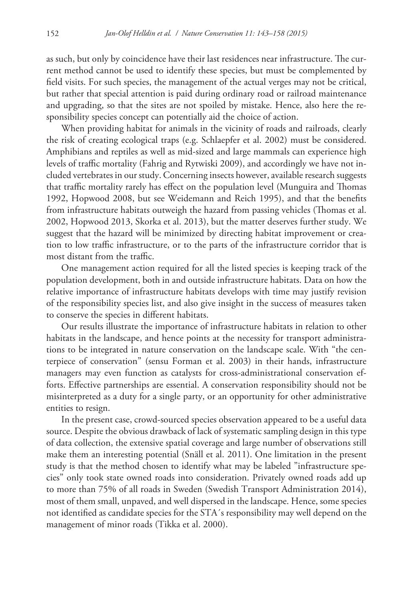as such, but only by coincidence have their last residences near infrastructure. The current method cannot be used to identify these species, but must be complemented by field visits. For such species, the management of the actual verges may not be critical, but rather that special attention is paid during ordinary road or railroad maintenance and upgrading, so that the sites are not spoiled by mistake. Hence, also here the responsibility species concept can potentially aid the choice of action.

When providing habitat for animals in the vicinity of roads and railroads, clearly the risk of creating ecological traps (e.g. Schlaepfer et al. 2002) must be considered. Amphibians and reptiles as well as mid-sized and large mammals can experience high levels of traffic mortality (Fahrig and Rytwiski 2009), and accordingly we have not included vertebrates in our study. Concerning insects however, available research suggests that traffic mortality rarely has effect on the population level (Munguira and Thomas 1992, Hopwood 2008, but see Weidemann and Reich 1995), and that the benefits from infrastructure habitats outweigh the hazard from passing vehicles (Thomas et al. 2002, Hopwood 2013, Skorka et al. 2013), but the matter deserves further study. We suggest that the hazard will be minimized by directing habitat improvement or creation to low traffic infrastructure, or to the parts of the infrastructure corridor that is most distant from the traffic.

One management action required for all the listed species is keeping track of the population development, both in and outside infrastructure habitats. Data on how the relative importance of infrastructure habitats develops with time may justify revision of the responsibility species list, and also give insight in the success of measures taken to conserve the species in different habitats.

Our results illustrate the importance of infrastructure habitats in relation to other habitats in the landscape, and hence points at the necessity for transport administrations to be integrated in nature conservation on the landscape scale. With "the centerpiece of conservation" (sensu Forman et al. 2003) in their hands, infrastructure managers may even function as catalysts for cross-administrational conservation efforts. Effective partnerships are essential. A conservation responsibility should not be misinterpreted as a duty for a single party, or an opportunity for other administrative entities to resign.

In the present case, crowd-sourced species observation appeared to be a useful data source. Despite the obvious drawback of lack of systematic sampling design in this type of data collection, the extensive spatial coverage and large number of observations still make them an interesting potential (Snäll et al. 2011). One limitation in the present study is that the method chosen to identify what may be labeled "infrastructure species" only took state owned roads into consideration. Privately owned roads add up to more than 75% of all roads in Sweden (Swedish Transport Administration 2014), most of them small, unpaved, and well dispersed in the landscape. Hence, some species not identified as candidate species for the STA´s responsibility may well depend on the management of minor roads (Tikka et al. 2000).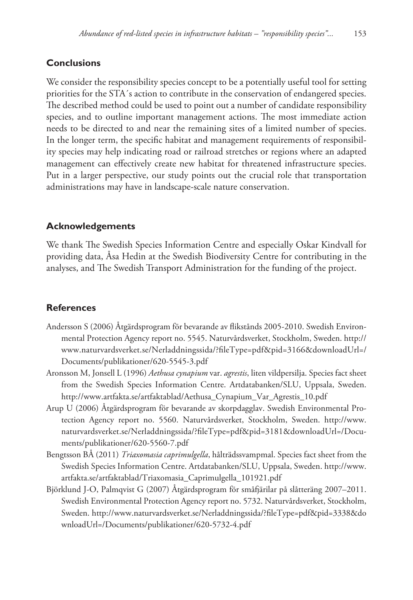## **Conclusions**

We consider the responsibility species concept to be a potentially useful tool for setting priorities for the STA´s action to contribute in the conservation of endangered species. The described method could be used to point out a number of candidate responsibility species, and to outline important management actions. The most immediate action needs to be directed to and near the remaining sites of a limited number of species. In the longer term, the specific habitat and management requirements of responsibility species may help indicating road or railroad stretches or regions where an adapted management can effectively create new habitat for threatened infrastructure species. Put in a larger perspective, our study points out the crucial role that transportation administrations may have in landscape-scale nature conservation.

## **Acknowledgements**

We thank The Swedish Species Information Centre and especially Oskar Kindvall for providing data, Åsa Hedin at the Swedish Biodiversity Centre for contributing in the analyses, and The Swedish Transport Administration for the funding of the project.

## **References**

- Andersson S (2006) Åtgärdsprogram för bevarande av flikstånds 2005-2010. Swedish Environmental Protection Agency report no. 5545. Naturvårdsverket, Stockholm, Sweden. [http://](http://www.naturvardsverket.se/Nerladdningssida/?fileType=pdf&pid=3166&downloadUrl=/Documents/publikationer/620-5545-3.pdf) [www.naturvardsverket.se/Nerladdningssida/?fileType=pdf&pid=3166&downloadUrl=/](http://www.naturvardsverket.se/Nerladdningssida/?fileType=pdf&pid=3166&downloadUrl=/Documents/publikationer/620-5545-3.pdf) [Documents/publikationer/620-5545-3.pdf](http://www.naturvardsverket.se/Nerladdningssida/?fileType=pdf&pid=3166&downloadUrl=/Documents/publikationer/620-5545-3.pdf)
- Aronsson M, Jonsell L (1996) *Aethusa cynapium* var. *agrestis*, liten vildpersilja. Species fact sheet from the Swedish Species Information Centre. Artdatabanken/SLU, Uppsala, Sweden. [http://www.artfakta.se/artfaktablad/Aethusa\\_Cynapium\\_Var\\_Agrestis\\_10.pdf](http://www.artfakta.se/artfaktablad/Aethusa_Cynapium_Var_Agrestis_10.pdf)
- Arup U (2006) Åtgärdsprogram för bevarande av skorpdagglav. Swedish Environmental Protection Agency report no. 5560. Naturvårdsverket, Stockholm, Sweden. [http://www.](http://www.naturvardsverket.se/Nerladdningssida/?fileType=pdf&pid=3181&downloadUrl=/Documents/publikationer/620-5560-7.pdf) [naturvardsverket.se/Nerladdningssida/?fileType=pdf&pid=3181&downloadUrl=/Docu](http://www.naturvardsverket.se/Nerladdningssida/?fileType=pdf&pid=3181&downloadUrl=/Documents/publikationer/620-5560-7.pdf)[ments/publikationer/620-5560-7.pdf](http://www.naturvardsverket.se/Nerladdningssida/?fileType=pdf&pid=3181&downloadUrl=/Documents/publikationer/620-5560-7.pdf)
- Bengtsson BÅ (2011) *Triaxomasia caprimulgella*, hålträdssvampmal. Species fact sheet from the Swedish Species Information Centre. Artdatabanken/SLU, Uppsala, Sweden. [http://www.](http://www.artfakta.se/artfaktablad/Triaxomasia_Caprimulgella_101921.pdf) [artfakta.se/artfaktablad/Triaxomasia\\_Caprimulgella\\_101921.pdf](http://www.artfakta.se/artfaktablad/Triaxomasia_Caprimulgella_101921.pdf)
- Björklund J-O, Palmqvist G (2007) Åtgärdsprogram för småfjärilar på slåtteräng 2007–2011. Swedish Environmental Protection Agency report no. 5732. Naturvårdsverket, Stockholm, Sweden. [http://www.naturvardsverket.se/Nerladdningssida/?fileType=pdf&pid=3338&do](http://www.naturvardsverket.se/Nerladdningssida/?fileType=pdf&pid=3338&downloadUrl=/Documents/publikationer/620-5732-4.pdf) [wnloadUrl=/Documents/publikationer/620-5732-4.pdf](http://www.naturvardsverket.se/Nerladdningssida/?fileType=pdf&pid=3338&downloadUrl=/Documents/publikationer/620-5732-4.pdf)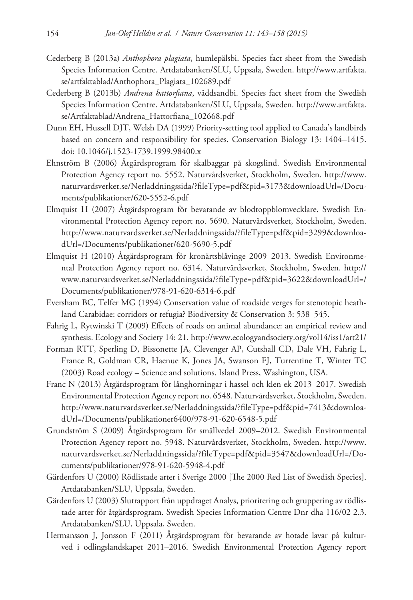- Cederberg B (2013a) *Anthophora plagiata*, humlepälsbi. Species fact sheet from the Swedish Species Information Centre. Artdatabanken/SLU, Uppsala, Sweden. [http://www.artfakta.](http://www.artfakta.se/artfaktablad/Anthophora_Plagiata_102689.pdf) [se/artfaktablad/Anthophora\\_Plagiata\\_102689.pdf](http://www.artfakta.se/artfaktablad/Anthophora_Plagiata_102689.pdf)
- Cederberg B (2013b) *Andrena hattorfiana*, väddsandbi. Species fact sheet from the Swedish Species Information Centre. Artdatabanken/SLU, Uppsala, Sweden. [http://www.artfakta.](http://www.artfakta.se/Artfaktablad/Andrena_Hattorfiana_102668.pdf) [se/Artfaktablad/Andrena\\_Hattorfiana\\_102668.pdf](http://www.artfakta.se/Artfaktablad/Andrena_Hattorfiana_102668.pdf)
- Dunn EH, Hussell DJT, Welsh DA (1999) Priority-setting tool applied to Canada's landbirds based on concern and responsibility for species. Conservation Biology 13: 1404–1415. [doi: 10.1046/j.1523-1739.1999.98400.x](http://dx.doi.org/10.1046/j.1523-1739.1999.98400.x)
- Ehnström B (2006) Åtgärdsprogram för skalbaggar på skogslind. Swedish Environmental Protection Agency report no. 5552. Naturvårdsverket, Stockholm, Sweden. [http://www.](http://www.naturvardsverket.se/Nerladdningssida/?fileType=pdf&pid=3173&downloadUrl=/Documents/publikationer/620-5552-6.pdf) [naturvardsverket.se/Nerladdningssida/?fileType=pdf&pid=3173&downloadUrl=/Docu](http://www.naturvardsverket.se/Nerladdningssida/?fileType=pdf&pid=3173&downloadUrl=/Documents/publikationer/620-5552-6.pdf)[ments/publikationer/620-5552-6.pdf](http://www.naturvardsverket.se/Nerladdningssida/?fileType=pdf&pid=3173&downloadUrl=/Documents/publikationer/620-5552-6.pdf)
- Elmquist H (2007) Åtgärdsprogram för bevarande av blodtoppblomvecklare. Swedish Environmental Protection Agency report no. 5690. Naturvårdsverket, Stockholm, Sweden. [http://www.naturvardsverket.se/Nerladdningssida/?fileType=pdf&pid=3299&downloa](http://www.naturvardsverket.se/Nerladdningssida/?fileType=pdf&pid=3299&downloadUrl=/Documents/publikationer/620-5690-5.pdf)[dUrl=/Documents/publikationer/620-5690-5.pdf](http://www.naturvardsverket.se/Nerladdningssida/?fileType=pdf&pid=3299&downloadUrl=/Documents/publikationer/620-5690-5.pdf)
- Elmquist H (2010) Åtgärdsprogram för kronärtsblåvinge 2009–2013. Swedish Environmental Protection Agency report no. 6314. Naturvårdsverket, Stockholm, Sweden. [http://](http://www.naturvardsverket.se/Nerladdningssida/?fileType=pdf&pid=3622&downloadUrl=/Documents/publikationer/978-91-620-6314-6.pdf) [www.naturvardsverket.se/Nerladdningssida/?fileType=pdf&pid=3622&downloadUrl=/](http://www.naturvardsverket.se/Nerladdningssida/?fileType=pdf&pid=3622&downloadUrl=/Documents/publikationer/978-91-620-6314-6.pdf) [Documents/publikationer/978-91-620-6314-6.pdf](http://www.naturvardsverket.se/Nerladdningssida/?fileType=pdf&pid=3622&downloadUrl=/Documents/publikationer/978-91-620-6314-6.pdf)
- Eversham BC, Telfer MG (1994) Conservation value of roadside verges for stenotopic heathland Carabidae: corridors or refugia? Biodiversity & Conservation 3: 538–545.
- Fahrig L, Rytwinski T (2009) Effects of roads on animal abundance: an empirical review and synthesis. Ecology and Society 14: 21.<http://www.ecologyandsociety.org/vol14/iss1/art21/>
- Forman RTT, Sperling D, Bissonette JA, Clevenger AP, Cutshall CD, Dale VH, Fahrig L, France R, Goldman CR, Haenue K, Jones JA, Swanson FJ, Turrentine T, Winter TC (2003) Road ecology – Science and solutions. Island Press, Washington, USA.
- Franc N (2013) Åtgärdsprogram för långhorningar i hassel och klen ek 2013–2017. Swedish Environmental Protection Agency report no. 6548. Naturvårdsverket, Stockholm, Sweden. [http://www.naturvardsverket.se/Nerladdningssida/?fileType=pdf&pid=7413&downloa](http://www.naturvardsverket.se/Nerladdningssida/?fileType=pdf&pid=7413&downloadUrl=/Documents/publikationer6400/978-91-620-6548-5.pdf)[dUrl=/Documents/publikationer6400/978-91-620-6548-5.pdf](http://www.naturvardsverket.se/Nerladdningssida/?fileType=pdf&pid=7413&downloadUrl=/Documents/publikationer6400/978-91-620-6548-5.pdf)
- Grundström S (2009) Åtgärdsprogram för smällvedel 2009–2012. Swedish Environmental Protection Agency report no. 5948. Naturvårdsverket, Stockholm, Sweden. [http://www.](http://www.naturvardsverket.se/Nerladdningssida/?fileType=pdf&pid=3547&downloadUrl=/Documents/publikationer/978-91-620-5948-4.pdf) [naturvardsverket.se/Nerladdningssida/?fileType=pdf&pid=3547&downloadUrl=/Do](http://www.naturvardsverket.se/Nerladdningssida/?fileType=pdf&pid=3547&downloadUrl=/Documents/publikationer/978-91-620-5948-4.pdf)[cuments/publikationer/978-91-620-5948-4.pdf](http://www.naturvardsverket.se/Nerladdningssida/?fileType=pdf&pid=3547&downloadUrl=/Documents/publikationer/978-91-620-5948-4.pdf)
- Gärdenfors U (2000) Rödlistade arter i Sverige 2000 [The 2000 Red List of Swedish Species]. Artdatabanken/SLU, Uppsala, Sweden.
- Gärdenfors U (2003) Slutrapport från uppdraget Analys, prioritering och gruppering av rödlistade arter för åtgärdsprogram. Swedish Species Information Centre Dnr dha 116/02 2.3. Artdatabanken/SLU, Uppsala, Sweden.
- Hermansson J, Jonsson F (2011) Åtgärdsprogram för bevarande av hotade lavar på kulturved i odlingslandskapet 2011–2016. Swedish Environmental Protection Agency report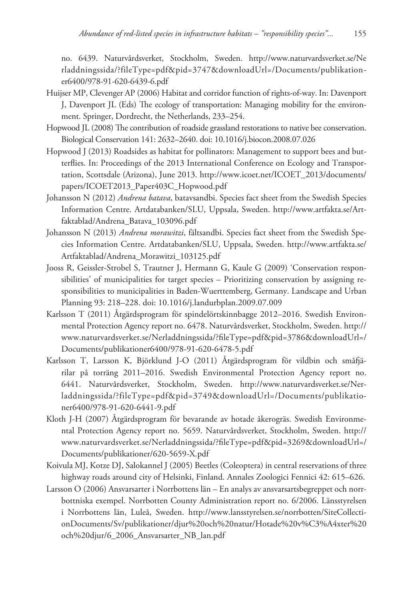no. 6439. Naturvårdsverket, Stockholm, Sweden. [http://www.naturvardsverket.se/Ne](http://www.naturvardsverket.se/Nerladdningssida/?fileType=pdf&pid=3747&downloadUrl=/Documents/publikationer6400/978-91-620-6439-6.pdf) [rladdningssida/?fileType=pdf&pid=3747&downloadUrl=/Documents/publikation](http://www.naturvardsverket.se/Nerladdningssida/?fileType=pdf&pid=3747&downloadUrl=/Documents/publikationer6400/978-91-620-6439-6.pdf)[er6400/978-91-620-6439-6.pdf](http://www.naturvardsverket.se/Nerladdningssida/?fileType=pdf&pid=3747&downloadUrl=/Documents/publikationer6400/978-91-620-6439-6.pdf)

- Huijser MP, Clevenger AP (2006) Habitat and corridor function of rights-of-way. In: Davenport J, Davenport JL (Eds) The ecology of transportation: Managing mobility for the environment. Springer, Dordrecht, the Netherlands, 233–254.
- Hopwood JL (2008) The contribution of roadside grassland restorations to native bee conservation. Biological Conservation 141: 2632–2640. [doi: 10.1016/j.biocon.2008.07.026](http://dx.doi.org/10.1016/j.biocon.2008.07.026)
- Hopwood J (2013) Roadsides as habitat for pollinators: Management to support bees and butterflies. In: Proceedings of the 2013 International Conference on Ecology and Transportation, Scottsdale (Arizona), June 2013. [http://www.icoet.net/ICOET\\_2013/documents/](http://www.icoet.net/ICOET_2013/documents/papers/ICOET2013_Paper403C_Hopwood.pdf) [papers/ICOET2013\\_Paper403C\\_Hopwood.pdf](http://www.icoet.net/ICOET_2013/documents/papers/ICOET2013_Paper403C_Hopwood.pdf)
- Johansson N (2012) *Andrena batava*, batavsandbi. Species fact sheet from the Swedish Species Information Centre. Artdatabanken/SLU, Uppsala, Sweden. [http://www.artfakta.se/Art](http://www.artfakta.se/Artfaktablad/Andrena_Batava_103096.pdf)[faktablad/Andrena\\_Batava\\_103096.pdf](http://www.artfakta.se/Artfaktablad/Andrena_Batava_103096.pdf)
- Johansson N (2013) *Andrena morawitzi*, fältsandbi. Species fact sheet from the Swedish Species Information Centre. Artdatabanken/SLU, Uppsala, Sweden. [http://www.artfakta.se/](http://www.artfakta.se/Artfaktablad/Andrena_Morawitzi_103125.pdf) [Artfaktablad/Andrena\\_Morawitzi\\_103125.pdf](http://www.artfakta.se/Artfaktablad/Andrena_Morawitzi_103125.pdf)
- Jooss R, Geissler-Strobel S, Trautner J, Hermann G, Kaule G (2009) 'Conservation responsibilities' of municipalities for target species – Prioritizing conservation by assigning responsibilities to municipalities in Baden-Wuerttemberg, Germany. Landscape and Urban Planning 93: 218–228. [doi: 10.1016/j.landurbplan.2009.07.009](http://dx.doi.org/10.1016/j.landurbplan.2009.07.009)
- Karlsson T (2011) Åtgärdsprogram för spindelörtskinnbagge 2012–2016. Swedish Environmental Protection Agency report no. 6478. Naturvårdsverket, Stockholm, Sweden. [http://](http://www.naturvardsverket.se/Nerladdningssida/?fileType=pdf&pid=3786&downloadUrl=/Documents/publikationer6400/978-91-620-6478-5.pdf) [www.naturvardsverket.se/Nerladdningssida/?fileType=pdf&pid=3786&downloadUrl=/](http://www.naturvardsverket.se/Nerladdningssida/?fileType=pdf&pid=3786&downloadUrl=/Documents/publikationer6400/978-91-620-6478-5.pdf) [Documents/publikationer6400/978-91-620-6478-5.pdf](http://www.naturvardsverket.se/Nerladdningssida/?fileType=pdf&pid=3786&downloadUrl=/Documents/publikationer6400/978-91-620-6478-5.pdf)
- Karlsson T, Larsson K, Björklund J-O (2011) Åtgärdsprogram för vildbin och småfjärilar på torräng 2011–2016. Swedish Environmental Protection Agency report no. 6441. Naturvårdsverket, Stockholm, Sweden. [http://www.naturvardsverket.se/Ner](http://www.naturvardsverket.se/Nerladdningssida/?fileType=pdf&pid=3749&downloadUrl=/Documents/publikationer6400/978-91-620-6441-9.pdf)[laddningssida/?fileType=pdf&pid=3749&downloadUrl=/Documents/publikatio](http://www.naturvardsverket.se/Nerladdningssida/?fileType=pdf&pid=3749&downloadUrl=/Documents/publikationer6400/978-91-620-6441-9.pdf)[ner6400/978-91-620-6441-9.pdf](http://www.naturvardsverket.se/Nerladdningssida/?fileType=pdf&pid=3749&downloadUrl=/Documents/publikationer6400/978-91-620-6441-9.pdf)
- Kloth J-H (2007) Åtgärdsprogram för bevarande av hotade åkerogräs. Swedish Environmental Protection Agency report no. 5659. Naturvårdsverket, Stockholm, Sweden. [http://](http://www.naturvardsverket.se/Nerladdningssida/?fileType=pdf&pid=3269&downloadUrl=/Documents/publikationer/620-5659-X.pdf) [www.naturvardsverket.se/Nerladdningssida/?fileType=pdf&pid=3269&downloadUrl=/](http://www.naturvardsverket.se/Nerladdningssida/?fileType=pdf&pid=3269&downloadUrl=/Documents/publikationer/620-5659-X.pdf) [Documents/publikationer/620-5659-X.pdf](http://www.naturvardsverket.se/Nerladdningssida/?fileType=pdf&pid=3269&downloadUrl=/Documents/publikationer/620-5659-X.pdf)
- Koivula MJ, Kotze DJ, Salokannel J (2005) Beetles (Coleoptera) in central reservations of three highway roads around city of Helsinki, Finland. Annales Zoologici Fennici 42: 615–626.
- Larsson O (2006) Ansvarsarter i Norrbottens län En analys av ansvarsartsbegreppet och norrbottniska exempel. Norrbotten County Administration report no. 6/2006. Länsstyrelsen i Norrbottens län, Luleå, Sweden. [http://www.lansstyrelsen.se/norrbotten/SiteCollecti](http://www.lansstyrelsen.se/norrbotten/SiteCollectionDocuments/Sv/publikationer/djur%20och%20natur/Hotade%20v%C3%A4xter%20och%20djur/6_2006_Ansvarsarter_NB_lan.pdf)[onDocuments/Sv/publikationer/djur%20och%20natur/Hotade%20v%C3%A4xter%20](http://www.lansstyrelsen.se/norrbotten/SiteCollectionDocuments/Sv/publikationer/djur%20och%20natur/Hotade%20v%C3%A4xter%20och%20djur/6_2006_Ansvarsarter_NB_lan.pdf) [och%20djur/6\\_2006\\_Ansvarsarter\\_NB\\_lan.pdf](http://www.lansstyrelsen.se/norrbotten/SiteCollectionDocuments/Sv/publikationer/djur%20och%20natur/Hotade%20v%C3%A4xter%20och%20djur/6_2006_Ansvarsarter_NB_lan.pdf)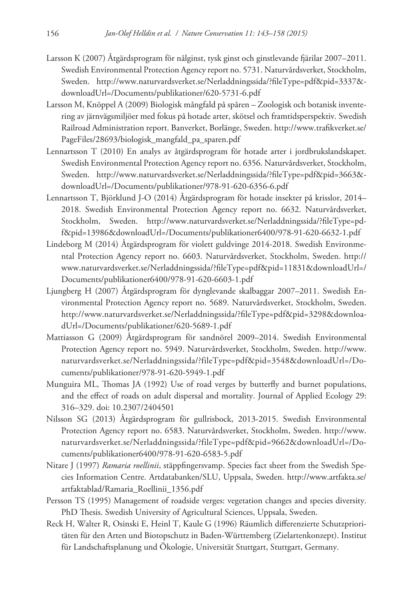- Larsson K (2007) Åtgärdsprogram för nålginst, tysk ginst och ginstlevande fjärilar 2007–2011. Swedish Environmental Protection Agency report no. 5731. Naturvårdsverket, Stockholm, Sweden. [http://www.naturvardsverket.se/Nerladdningssida/?fileType=pdf&pid=3337&](http://www.naturvardsverket.se/Nerladdningssida/?fileType=pdf&pid=3337&downloadUrl=/Documents/publikationer/620-5731-6.pdf) [downloadUrl=/Documents/publikationer/620-5731-6.pdf](http://www.naturvardsverket.se/Nerladdningssida/?fileType=pdf&pid=3337&downloadUrl=/Documents/publikationer/620-5731-6.pdf)
- Larsson M, Knöppel A (2009) Biologisk mångfald på spåren Zoologisk och botanisk inventering av järnvägsmiljöer med fokus på hotade arter, skötsel och framtidsperspektiv. Swedish Railroad Administration report. Banverket, Borlänge, Sweden. [http://www.trafikverket.se/](http://www.trafikverket.se/PageFiles/28693/biologisk_mangfald_pa_sparen.pdf) [PageFiles/28693/biologisk\\_mangfald\\_pa\\_sparen.pdf](http://www.trafikverket.se/PageFiles/28693/biologisk_mangfald_pa_sparen.pdf)
- Lennartsson T (2010) En analys av åtgärdsprogram för hotade arter i jordbrukslandskapet. Swedish Environmental Protection Agency report no. 6356. Naturvårdsverket, Stockholm, Sweden. [http://www.naturvardsverket.se/Nerladdningssida/?fileType=pdf&pid=3663&](http://www.naturvardsverket.se/Nerladdningssida/?fileType=pdf&pid=3663&downloadUrl=/Documents/publikationer/978-91-620-6356-6.pdf) [downloadUrl=/Documents/publikationer/978-91-620-6356-6.pdf](http://www.naturvardsverket.se/Nerladdningssida/?fileType=pdf&pid=3663&downloadUrl=/Documents/publikationer/978-91-620-6356-6.pdf)
- Lennartsson T, Björklund J-O (2014) Åtgärdsprogram för hotade insekter på krisslor, 2014– 2018. Swedish Environmental Protection Agency report no. 6632. Naturvårdsverket, Stockholm, Sweden. [http://www.naturvardsverket.se/Nerladdningssida/?fileType=pd](http://www.naturvardsverket.se/Nerladdningssida/?fileType=pdf&pid=13986&downloadUrl=/Documents/publikationer6400/978-91-620-6632-1.pdf)[f&pid=13986&downloadUrl=/Documents/publikationer6400/978-91-620-6632-1.pdf](http://www.naturvardsverket.se/Nerladdningssida/?fileType=pdf&pid=13986&downloadUrl=/Documents/publikationer6400/978-91-620-6632-1.pdf)
- Lindeborg M (2014) Åtgärdsprogram för violett guldvinge 2014-2018. Swedish Environmental Protection Agency report no. 6603. Naturvårdsverket, Stockholm, Sweden. [http://](http://www.naturvardsverket.se/Nerladdningssida/?fileType=pdf&pid=11831&downloadUrl=/Documents/publikationer6400/978-91-620-6603-1.pdf) [www.naturvardsverket.se/Nerladdningssida/?fileType=pdf&pid=11831&downloadUrl=/](http://www.naturvardsverket.se/Nerladdningssida/?fileType=pdf&pid=11831&downloadUrl=/Documents/publikationer6400/978-91-620-6603-1.pdf) [Documents/publikationer6400/978-91-620-6603-1.pdf](http://www.naturvardsverket.se/Nerladdningssida/?fileType=pdf&pid=11831&downloadUrl=/Documents/publikationer6400/978-91-620-6603-1.pdf)
- Ljungberg H (2007) Åtgärdsprogram för dynglevande skalbaggar 2007–2011. Swedish Environmental Protection Agency report no. 5689. Naturvårdsverket, Stockholm, Sweden. [http://www.naturvardsverket.se/Nerladdningssida/?fileType=pdf&pid=3298&downloa](http://www.naturvardsverket.se/Nerladdningssida/?fileType=pdf&pid=3298&downloadUrl=/Documents/publikationer/620-5689-1.pdf)[dUrl=/Documents/publikationer/620-5689-1.pdf](http://www.naturvardsverket.se/Nerladdningssida/?fileType=pdf&pid=3298&downloadUrl=/Documents/publikationer/620-5689-1.pdf)
- Mattiasson G (2009) Åtgärdsprogram för sandnörel 2009–2014. Swedish Environmental Protection Agency report no. 5949. Naturvårdsverket, Stockholm, Sweden. [http://www.](http://www.naturvardsverket.se/Nerladdningssida/?fileType=pdf&pid=3548&downloadUrl=/Documents/publikationer/978-91-620-5949-1.pdf) [naturvardsverket.se/Nerladdningssida/?fileType=pdf&pid=3548&downloadUrl=/Do](http://www.naturvardsverket.se/Nerladdningssida/?fileType=pdf&pid=3548&downloadUrl=/Documents/publikationer/978-91-620-5949-1.pdf)[cuments/publikationer/978-91-620-5949-1.pdf](http://www.naturvardsverket.se/Nerladdningssida/?fileType=pdf&pid=3548&downloadUrl=/Documents/publikationer/978-91-620-5949-1.pdf)
- Munguira ML, Thomas JA (1992) Use of road verges by butterfly and burnet populations, and the effect of roads on adult dispersal and mortality. Journal of Applied Ecology 29: 316–329. [doi: 10.2307/2404501](http://dx.doi.org/10.2307/2404501)
- Nilsson SG (2013) Åtgärdsprogram för gullrisbock, 2013-2015. Swedish Environmental Protection Agency report no. 6583. Naturvårdsverket, Stockholm, Sweden. [http://www.](http://www.naturvardsverket.se/Nerladdningssida/?fileType=pdf&pid=9662&downloadUrl=/Documents/publikationer6400/978-91-620-6583-5.pdf) [naturvardsverket.se/Nerladdningssida/?fileType=pdf&pid=9662&downloadUrl=/Do](http://www.naturvardsverket.se/Nerladdningssida/?fileType=pdf&pid=9662&downloadUrl=/Documents/publikationer6400/978-91-620-6583-5.pdf)[cuments/publikationer6400/978-91-620-6583-5.pdf](http://www.naturvardsverket.se/Nerladdningssida/?fileType=pdf&pid=9662&downloadUrl=/Documents/publikationer6400/978-91-620-6583-5.pdf)
- Nitare J (1997) *Ramaria roellinii*, stäppfingersvamp. Species fact sheet from the Swedish Species Information Centre. Artdatabanken/SLU, Uppsala, Sweden. [http://www.artfakta.se/](http://www.artfakta.se/artfaktablad/Ramaria_Roellinii_1356.pdf) [artfaktablad/Ramaria\\_Roellinii\\_1356.pdf](http://www.artfakta.se/artfaktablad/Ramaria_Roellinii_1356.pdf)
- Persson TS (1995) Management of roadside verges: vegetation changes and species diversity. PhD Thesis. Swedish University of Agricultural Sciences, Uppsala, Sweden.
- Reck H, Walter R, Osinski E, Heinl T, Kaule G (1996) Räumlich differenzierte Schutzprioritäten für den Arten und Biotopschutz in Baden-Württemberg (Zielartenkonzept). Institut für Landschaftsplanung und Ökologie, Universität Stuttgart, Stuttgart, Germany.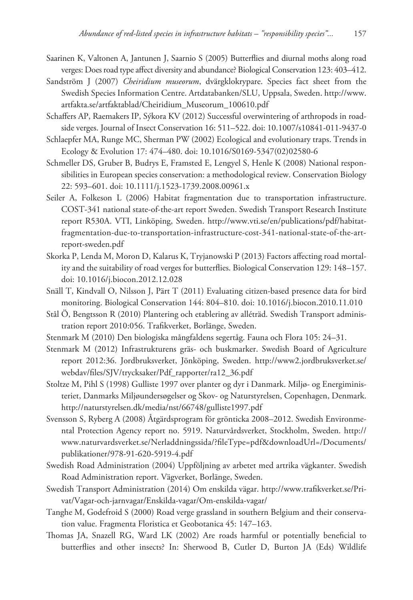- Saarinen K, Valtonen A, Jantunen J, Saarnio S (2005) Butterflies and diurnal moths along road verges: Does road type affect diversity and abundance? Biological Conservation 123: 403–412.
- Sandström J (2007) *Cheiridium museorum*, dvärgklokrypare. Species fact sheet from the Swedish Species Information Centre. Artdatabanken/SLU, Uppsala, Sweden. [http://www.](http://www.artfakta.se/artfaktablad/Cheiridium_Museorum_100610.pdf) [artfakta.se/artfaktablad/Cheiridium\\_Museorum\\_100610.pdf](http://www.artfakta.se/artfaktablad/Cheiridium_Museorum_100610.pdf)
- Schaffers AP, Raemakers IP, Sýkora KV (2012) Successful overwintering of arthropods in roadside verges. Journal of Insect Conservation 16: 511–522. [doi: 10.1007/s10841-011-9437-0](http://dx.doi.org/10.1007/s10841-011-9437-0)
- Schlaepfer MA, Runge MC, Sherman PW (2002) Ecological and evolutionary traps. Trends in Ecology & Evolution 17: 474–480. [doi: 10.1016/S0169-5347\(02\)02580-6](http://dx.doi.org/10.1016/S0169-5347(02)02580-6)
- Schmeller DS, Gruber B, Budrys E, Framsted E, Lengyel S, Henle K (2008) National responsibilities in European species conservation: a methodological review. Conservation Biology 22: 593–601. [doi: 10.1111/j.1523-1739.2008.00961.x](http://dx.doi.org/10.1111/j.1523-1739.2008.00961.x)
- Seiler A, Folkeson L (2006) Habitat fragmentation due to transportation infrastructure. COST-341 national state-of-the-art report Sweden. Swedish Transport Research Institute report R530A. VTI, Linköping, Sweden. [http://www.vti.se/en/publications/pdf/habitat](http://www.vti.se/en/publications/pdf/habitat-fragmentation-due-to-transportation-infrastructure-cost-341-national-state-of-the-art-report-sweden.pdf)[fragmentation-due-to-transportation-infrastructure-cost-341-national-state-of-the-art](http://www.vti.se/en/publications/pdf/habitat-fragmentation-due-to-transportation-infrastructure-cost-341-national-state-of-the-art-report-sweden.pdf)[report-sweden.pdf](http://www.vti.se/en/publications/pdf/habitat-fragmentation-due-to-transportation-infrastructure-cost-341-national-state-of-the-art-report-sweden.pdf)
- Skorka P, Lenda M, Moron D, Kalarus K, Tryjanowski P (2013) Factors affecting road mortality and the suitability of road verges for butterflies. Biological Conservation 129: 148–157. [doi: 10.1016/j.biocon.2012.12.028](http://dx.doi.org/10.1016/j.biocon.2012.12.028)
- Snäll T, Kindvall O, Nilsson J, Pärt T (2011) Evaluating citizen-based presence data for bird monitoring. Biological Conservation 144: 804–810. [doi: 10.1016/j.biocon.2010.11.010](http://dx.doi.org/10.1016/j.biocon.2010.11.010)
- Stål Ö, Bengtsson R (2010) Plantering och etablering av alléträd. Swedish Transport administration report 2010:056. Trafikverket, Borlänge, Sweden.
- Stenmark M (2010) Den biologiska mångfaldens segertåg. Fauna och Flora 105: 24–31.
- Stenmark M (2012) Infrastrukturens gräs- och buskmarker. Swedish Board of Agriculture report 2012:36. Jordbruksverket, Jönköping, Sweden. [http://www2.jordbruksverket.se/](http://www2.jordbruksverket.se/webdav/files/SJV/trycksaker/Pdf_rapporter/ra12_36.pdf) [webdav/files/SJV/trycksaker/Pdf\\_rapporter/ra12\\_36.pdf](http://www2.jordbruksverket.se/webdav/files/SJV/trycksaker/Pdf_rapporter/ra12_36.pdf)
- Stoltze M, Pihl S (1998) Gulliste 1997 over planter og dyr i Danmark. Miljø- og Energiministeriet, Danmarks Miljøundersøgelser og Skov- og Naturstyrelsen, Copenhagen, Denmark. <http://naturstyrelsen.dk/media/nst/66748/gulliste1997.pdf>
- Svensson S, Ryberg A (2008) Åtgärdsprogram för grönticka 2008–2012. Swedish Environmental Protection Agency report no. 5919. Naturvårdsverket, Stockholm, Sweden. [http://](http://www.naturvardsverket.se/Nerladdningssida/?fileType=pdf&downloadUrl=/Documents/publikationer/978-91-620-5919-4.pdf) [www.naturvardsverket.se/Nerladdningssida/?fileType=pdf&downloadUrl=/Documents/](http://www.naturvardsverket.se/Nerladdningssida/?fileType=pdf&downloadUrl=/Documents/publikationer/978-91-620-5919-4.pdf) [publikationer/978-91-620-5919-4.pdf](http://www.naturvardsverket.se/Nerladdningssida/?fileType=pdf&downloadUrl=/Documents/publikationer/978-91-620-5919-4.pdf)
- Swedish Road Administration (2004) Uppföljning av arbetet med artrika vägkanter. Swedish Road Administration report. Vägverket, Borlänge, Sweden.
- Swedish Transport Administration (2014) Om enskilda vägar. [http://www.trafikverket.se/Pri](http://www.trafikverket.se/Privat/Vagar-och-jarnvagar/Enskilda-vagar/Om-enskilda-vagar/)[vat/Vagar-och-jarnvagar/Enskilda-vagar/Om-enskilda-vagar/](http://www.trafikverket.se/Privat/Vagar-och-jarnvagar/Enskilda-vagar/Om-enskilda-vagar/)
- Tanghe M, Godefroid S (2000) Road verge grassland in southern Belgium and their conservation value. Fragmenta Floristica et Geobotanica 45: 147–163.
- Thomas JA, Snazell RG, Ward LK (2002) Are roads harmful or potentially beneficial to butterflies and other insects? In: Sherwood B, Cutler D, Burton JA (Eds) Wildlife